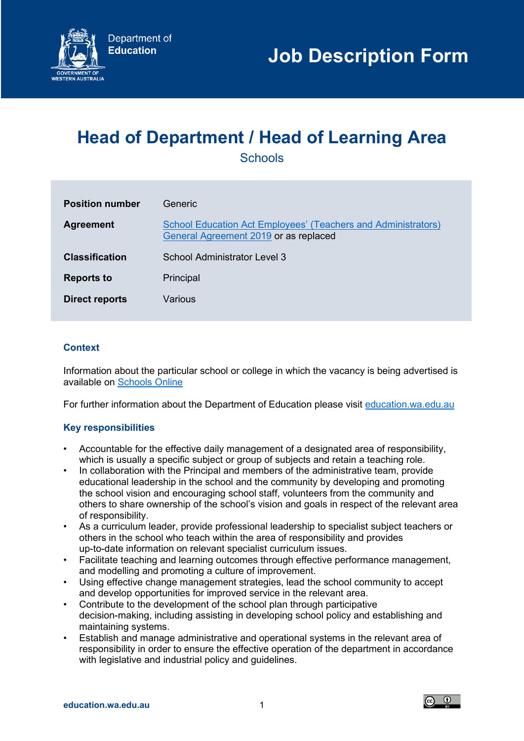

# **Head of Department / Head of Learning Area**

**Schools** 

| <b>Position number</b> | Generic                                                                                                       |
|------------------------|---------------------------------------------------------------------------------------------------------------|
| <b>Agreement</b>       | <b>School Education Act Employees' (Teachers and Administrators)</b><br>General Agreement 2019 or as replaced |
| <b>Classification</b>  | School Administrator Level 3                                                                                  |
| <b>Reports to</b>      | Principal                                                                                                     |
| <b>Direct reports</b>  | Various                                                                                                       |

# **Context**

Information about the particular school or college in which the vacancy is being advertised is available on [Schools Online](https://www.det.wa.edu.au/schoolsonline/home.do)

For further information about the Department of Education please visit [education.wa.edu.au](https://www.education.wa.edu.au/)

## **Key responsibilities**

- Accountable for the effective daily management of a designated area of responsibility, which is usually a specific subject or group of subjects and retain a teaching role.
- In collaboration with the Principal and members of the administrative team, provide educational leadership in the school and the community by developing and promoting the school vision and encouraging school staff, volunteers from the community and others to share ownership of the school's vision and goals in respect of the relevant area of responsibility.
- As a curriculum leader, provide professional leadership to specialist subject teachers or others in the school who teach within the area of responsibility and provides up-to-date information on relevant specialist curriculum issues.
- Facilitate teaching and learning outcomes through effective performance management, and modelling and promoting a culture of improvement.
- Using effective change management strategies, lead the school community to accept and develop opportunities for improved service in the relevant area.
- Contribute to the development of the school plan through participative decision-making, including assisting in developing school policy and establishing and maintaining systems.
- Establish and manage administrative and operational systems in the relevant area of responsibility in order to ensure the effective operation of the department in accordance with legislative and industrial policy and quidelines.